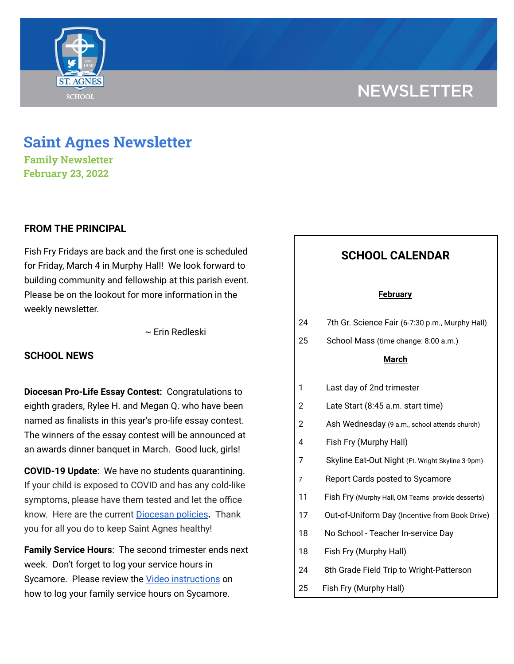# **NEWSLETTER**



**Family Newsletter February 23, 2022**

## **FROM THE PRINCIPAL**

Fish Fry Fridays are back and the first one is scheduled for Friday, March 4 in Murphy Hall! We look forward to building community and fellowship at this parish event. Please be on the lookout for more information in the weekly newsletter.

~ Erin Redleski

## **SCHOOL NEWS**

**Diocesan Pro-Life Essay Contest:** Congratulations to eighth graders, Rylee H. and Megan Q. who have been named as finalists in this year's pro-life essay contest. The winners of the essay contest will be announced at an awards dinner banquet in March. Good luck, girls!

**COVID-19 Update**: We have no students quarantining. If your child is exposed to COVID and has any cold-like symptoms, please have them tested and let the office know. Here are the current [Diocesan](https://school.saintagnes.com/wp-content/uploads/2022/01/COVID-19-School-Requirements-2021-2022-January-Update.pdf) policies**.** Thank you for all you do to keep Saint Agnes healthy!

**Family Service Hours**: The second trimester ends next week. Don't forget to log your service hours in Sycamore. Please review the Video [instructions](https://drive.google.com/file/d/1cmYj9N-NF2btSiiG8QdTD20q2RJRpwk7/view?usp=sharing) on how to log your family service hours on Sycamore.

## **SCHOOL CALENDAR**

#### **February**

| 24 | 7th Gr. Science Fair (6-7:30 p.m., Murphy Hall) |  |
|----|-------------------------------------------------|--|
|----|-------------------------------------------------|--|

25 School Mass (time change: 8:00 a.m.)

## **March**

- 1 Last day of 2nd trimester
- 2 Late Start (8:45 a.m. start time)
- 2 Ash Wednesday (9 a.m., school attends church)
- 4 Fish Fry (Murphy Hall)
- 7 Skyline Eat-Out Night (Ft. Wright Skyline 3-9pm)
- 7 Report Cards posted to Sycamore
- 11 Fish Fry (Murphy Hall, OM Teams provide desserts)
- 17 Out-of-Uniform Day (Incentive from Book Drive)
- 18 No School Teacher In-service Day
- 18 Fish Fry (Murphy Hall)
- 24 8th Grade Field Trip to Wright-Patterson
- 25 Fish Fry (Murphy Hall)

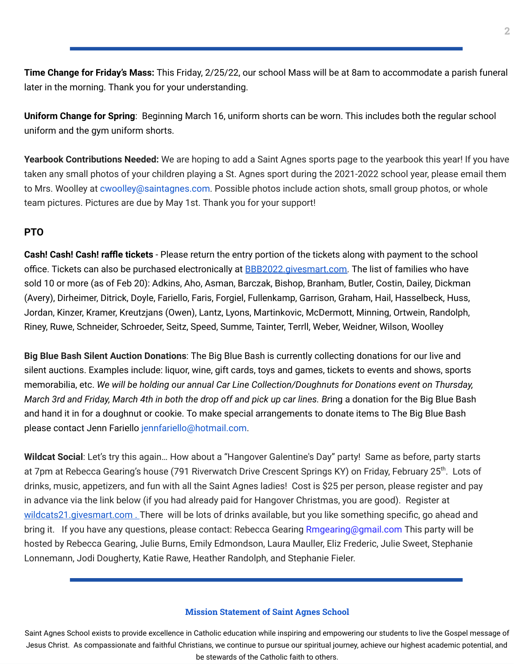**Time Change for Friday's Mass:** This Friday, 2/25/22, our school Mass will be at 8am to accommodate a parish funeral later in the morning. Thank you for your understanding.

**Uniform Change for Spring**: Beginning March 16, uniform shorts can be worn. This includes both the regular school uniform and the gym uniform shorts.

**Yearbook Contributions Needed:** We are hoping to add a Saint Agnes sports page to the yearbook this year! If you have taken any small photos of your children playing a St. Agnes sport during the 2021-2022 school year, please email them to Mrs. Woolley at cwoolley@saintagnes.com. Possible photos include action shots, small group photos, or whole team pictures. Pictures are due by May 1st. Thank you for your support!

## **PTO**

**Cash! Cash! Cash! raffle tickets** - Please return the entry portion of the tickets along with payment to the school office. Tickets can also be purchased electronically at **[BBB2022.givesmart.com](http://bbb2022.givesmart.com/)**. The list of families who have sold 10 or more (as of Feb 20): Adkins, Aho, Asman, Barczak, Bishop, Branham, Butler, Costin, Dailey, Dickman (Avery), Dirheimer, Ditrick, Doyle, Fariello, Faris, Forgiel, Fullenkamp, Garrison, Graham, Hail, Hasselbeck, Huss, Jordan, Kinzer, Kramer, Kreutzjans (Owen), Lantz, Lyons, Martinkovic, McDermott, Minning, Ortwein, Randolph, Riney, Ruwe, Schneider, Schroeder, Seitz, Speed, Summe, Tainter, Terrll, Weber, Weidner, Wilson, Woolley

**Big Blue Bash Silent Auction Donations**: The Big Blue Bash is currently collecting donations for our live and silent auctions. Examples include: liquor, wine, gift cards, toys and games, tickets to events and shows, sports memorabilia, etc. *We will be holding our annual Car Line Collection/Doughnuts for Donations event on Thursday,* March 3rd and Friday, March 4th in both the drop off and pick up car lines. Bring a donation for the Big Blue Bash and hand it in for a doughnut or cookie. To make special arrangements to donate items to The Big Blue Bash please contact Jenn Fariello jennfariello@hotmail.com.

**Wildcat Social**: Let's try this again… How about a "Hangover Galentine's Day" party! Same as before, party starts at 7pm at Rebecca Gearing's house (791 [Riverwatch](https://nam12.safelinks.protection.outlook.com/?url=https%3A%2F%2Fwww.google.com%2Fmaps%2Fsearch%2F791%2BRiverwatch%2BDrive%2BCrescent%2BSprings%2BKY%3Fentry%3Dgmail%26source%3Dg&data=04%7C01%7Crgearing%40chiquita.com%7Ce2ccf9c9e0294c85d04c08d9ebf2d960%7Ca69bd2031c4d48438c1df7d862e8c127%7C0%7C0%7C637800250533878502%7CUnknown%7CTWFpbGZsb3d8eyJWIjoiMC4wLjAwMDAiLCJQIjoiV2luMzIiLCJBTiI6Ik1haWwiLCJXVCI6Mn0%3D%7C3000&sdata=GmiWxeKpxdWyk076gP0ufh%2FkfQArVhc1hLL3kBQKnaA%3D&reserved=0) Drive Crescent Springs KY) on Friday, February 25<sup>th</sup>. Lots of drinks, music, appetizers, and fun with all the Saint Agnes ladies! Cost is \$25 per person, please register and pay in advance via the link below (if you had already paid for Hangover Christmas, you are good). Register at [wildcats21.givesmart.com](http://wildcats21.givesmart.com/). There will be lots of drinks available, but you like something specific, go ahead and bring it. If you have any questions, please contact: Rebecca Gearing Rmgearing@gmail.com This party will be hosted by Rebecca Gearing, Julie Burns, Emily Edmondson, Laura Mauller, Eliz Frederic, Julie Sweet, Stephanie Lonnemann, Jodi Dougherty, Katie Rawe, Heather Randolph, and Stephanie Fieler.

## **Mission Statement of Saint Agnes School**

Saint Agnes School exists to provide excellence in Catholic education while inspiring and empowering our students to live the Gospel message of Jesus Christ. As compassionate and faithful Christians, we continue to pursue our spiritual journey, achieve our highest academic potential, and be stewards of the Catholic faith to others.